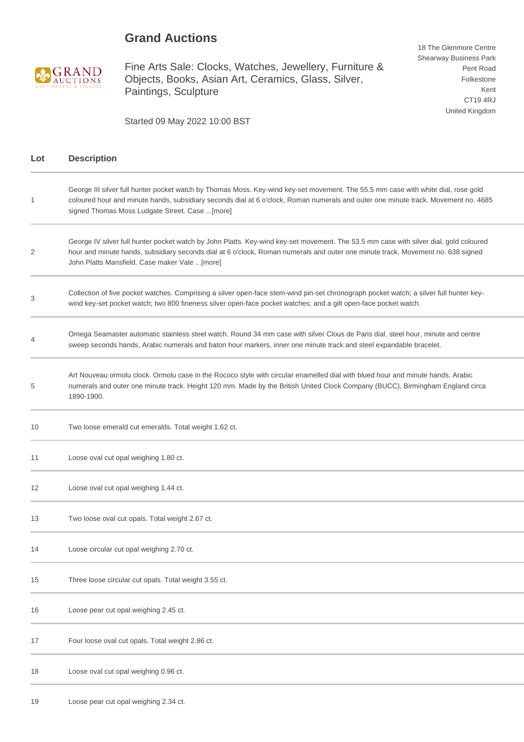## **Grand Auctions**



Fine Arts Sale: Clocks, Watches, Jewellery, Furniture & Objects, Books, Asian Art, Ceramics, Glass, Silver, Paintings, Sculpture

18 The Glenmore Centre Shearway Business Park Pent Road Folkestone Kent CT19 4RJ United Kingdom

Started 09 May 2022 10:00 BST

| Lot | <b>Description</b>                                                                                                                                                                                                                                                                                                        |
|-----|---------------------------------------------------------------------------------------------------------------------------------------------------------------------------------------------------------------------------------------------------------------------------------------------------------------------------|
| 1   | George III silver full hunter pocket watch by Thomas Moss. Key-wind key-set movement. The 55.5 mm case with white dial, rose gold<br>coloured hour and minute hands, subsidiary seconds dial at 6 o'clock, Roman numerals and outer one minute track. Movement no. 4685<br>signed Thomas Moss Ludgate Street. Case [more] |
| 2   | George IV silver full hunter pocket watch by John Platts. Key-wind key-set movement. The 53.5 mm case with silver dial, gold coloured<br>hour and minute hands, subsidiary seconds dial at 6 o'clock, Roman numerals and outer one minute track. Movement no. 638 signed<br>John Platts Mansfield. Case maker Vale [more] |
| 3   | Collection of five pocket watches. Comprising a silver open-face stem-wind pin-set chronograph pocket watch; a silver full hunter key-<br>wind key-set pocket watch; two 800 fineness silver open-face pocket watches; and a gilt open-face pocket watch.                                                                 |
|     | Omega Seamaster automatic stainless steel watch. Round 34 mm case with silver Clous de Paris dial, steel hour, minute and centre<br>sweep seconds hands, Arabic numerals and baton hour markers, inner one minute track and steel expandable bracelet.                                                                    |
| 5   | Art Nouveau ormolu clock. Ormolu case in the Rococo style with circular enamelled dial with blued hour and minute hands, Arabic<br>numerals and outer one minute track. Height 120 mm. Made by the British United Clock Company (BUCC), Birmingham England circa<br>1890-1900.                                            |
| 10  | Two loose emerald cut emeralds. Total weight 1.62 ct.                                                                                                                                                                                                                                                                     |
| 11  | Loose oval cut opal weighing 1.80 ct.                                                                                                                                                                                                                                                                                     |
| 12  | Loose oval cut opal weighing 1.44 ct.                                                                                                                                                                                                                                                                                     |
| 13  | Two loose oval cut opals. Total weight 2.67 ct.                                                                                                                                                                                                                                                                           |
| 14  | Loose circular cut opal weighing 2.70 ct.                                                                                                                                                                                                                                                                                 |
| 15  | Three loose circular cut opals. Total weight 3.55 ct.                                                                                                                                                                                                                                                                     |
| 16  | Loose pear cut opal weighing 2.45 ct.                                                                                                                                                                                                                                                                                     |
| 17  | Four loose oval cut opals. Total weight 2.86 ct.                                                                                                                                                                                                                                                                          |
| 18  | Loose oval cut opal weighing 0.96 ct.                                                                                                                                                                                                                                                                                     |
| 19  | Loose pear cut opal weighing 2.34 ct.                                                                                                                                                                                                                                                                                     |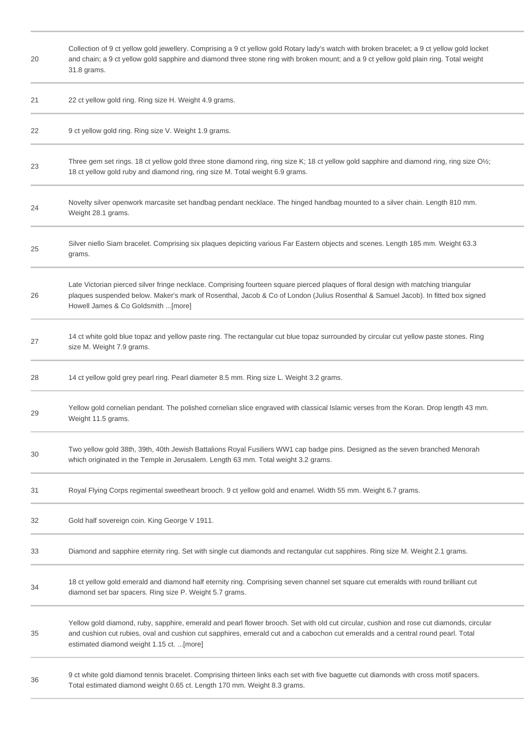| 20 | Collection of 9 ct yellow gold jewellery. Comprising a 9 ct yellow gold Rotary lady's watch with broken bracelet; a 9 ct yellow gold locket<br>and chain; a 9 ct yellow gold sapphire and diamond three stone ring with broken mount; and a 9 ct yellow gold plain ring. Total weight<br>31.8 grams.                     |
|----|--------------------------------------------------------------------------------------------------------------------------------------------------------------------------------------------------------------------------------------------------------------------------------------------------------------------------|
| 21 | 22 ct yellow gold ring. Ring size H. Weight 4.9 grams.                                                                                                                                                                                                                                                                   |
| 22 | 9 ct yellow gold ring. Ring size V. Weight 1.9 grams.                                                                                                                                                                                                                                                                    |
| 23 | Three gem set rings. 18 ct yellow gold three stone diamond ring, ring size K; 18 ct yellow gold sapphire and diamond ring, ring size O1/2;<br>18 ct yellow gold ruby and diamond ring, ring size M. Total weight 6.9 grams.                                                                                              |
| 24 | Novelty silver openwork marcasite set handbag pendant necklace. The hinged handbag mounted to a silver chain. Length 810 mm.<br>Weight 28.1 grams.                                                                                                                                                                       |
| 25 | Silver niello Siam bracelet. Comprising six plaques depicting various Far Eastern objects and scenes. Length 185 mm. Weight 63.3<br>grams.                                                                                                                                                                               |
| 26 | Late Victorian pierced silver fringe necklace. Comprising fourteen square pierced plaques of floral design with matching triangular<br>plaques suspended below. Maker's mark of Rosenthal, Jacob & Co of London (Julius Rosenthal & Samuel Jacob). In fitted box signed<br>Howell James & Co Goldsmith [more]            |
| 27 | 14 ct white gold blue topaz and yellow paste ring. The rectangular cut blue topaz surrounded by circular cut yellow paste stones. Ring<br>size M. Weight 7.9 grams.                                                                                                                                                      |
| 28 | 14 ct yellow gold grey pearl ring. Pearl diameter 8.5 mm. Ring size L. Weight 3.2 grams.                                                                                                                                                                                                                                 |
| 29 | Yellow gold cornelian pendant. The polished cornelian slice engraved with classical Islamic verses from the Koran. Drop length 43 mm.<br>Weight 11.5 grams.                                                                                                                                                              |
| 30 | Two yellow gold 38th, 39th, 40th Jewish Battalions Royal Fusiliers WW1 cap badge pins. Designed as the seven branched Menorah<br>which originated in the Temple in Jerusalem. Length 63 mm. Total weight 3.2 grams.                                                                                                      |
| 31 | Royal Flying Corps regimental sweetheart brooch. 9 ct yellow gold and enamel. Width 55 mm. Weight 6.7 grams.                                                                                                                                                                                                             |
| 32 | Gold half sovereign coin. King George V 1911.                                                                                                                                                                                                                                                                            |
| 33 | Diamond and sapphire eternity ring. Set with single cut diamonds and rectangular cut sapphires. Ring size M. Weight 2.1 grams.                                                                                                                                                                                           |
| 34 | 18 ct yellow gold emerald and diamond half eternity ring. Comprising seven channel set square cut emeralds with round brilliant cut<br>diamond set bar spacers. Ring size P. Weight 5.7 grams.                                                                                                                           |
| 35 | Yellow gold diamond, ruby, sapphire, emerald and pearl flower brooch. Set with old cut circular, cushion and rose cut diamonds, circular<br>and cushion cut rubies, oval and cushion cut sapphires, emerald cut and a cabochon cut emeralds and a central round pearl. Total<br>estimated diamond weight 1.15 ct. [more] |
| 36 | 9 ct white gold diamond tennis bracelet. Comprising thirteen links each set with five baguette cut diamonds with cross motif spacers.<br>Total estimated diamond weight 0.65 ct. Length 170 mm. Weight 8.3 grams.                                                                                                        |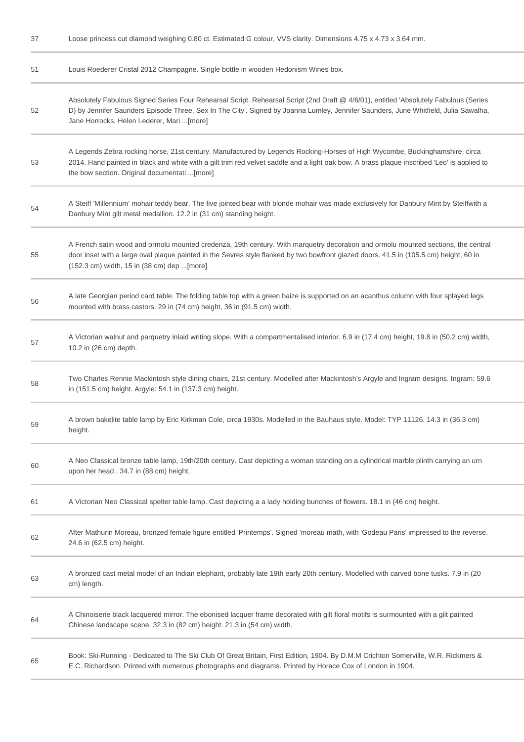| 37 | Loose princess cut diamond weighing 0.80 ct. Estimated G colour, VVS clarity. Dimensions 4.75 x 4.73 x 3.64 mm.                                                                                                                                                                                                           |
|----|---------------------------------------------------------------------------------------------------------------------------------------------------------------------------------------------------------------------------------------------------------------------------------------------------------------------------|
| 51 | Louis Roederer Cristal 2012 Champagne. Single bottle in wooden Hedonism Wines box.                                                                                                                                                                                                                                        |
| 52 | Absolutely Fabulous Signed Series Four Rehearsal Script. Rehearsal Script (2nd Draft @ 4/6/01), entitled 'Absolutely Fabulous (Series<br>D) by Jennifer Saunders Episode Three, Sex In The City'. Signed by Joanna Lumley, Jennifer Saunders, June Whitfield, Julia Sawalha,<br>Jane Horrocks, Helen Lederer, Mari [more] |
| 53 | A Legends Zebra rocking horse, 21st century. Manufactured by Legends Rocking-Horses of High Wycombe, Buckinghamshire, circa<br>2014. Hand painted in black and white with a gilt trim red velvet saddle and a light oak bow. A brass plaque inscribed 'Leo' is applied to<br>the bow section. Original documentati [more] |
| 54 | A Steiff 'Millennium' mohair teddy bear. The five jointed bear with blonde mohair was made exclusively for Danbury Mint by Steiffwith a<br>Danbury Mint gilt metal medallion. 12.2 in (31 cm) standing height.                                                                                                            |
| 55 | A French satin wood and ormolu mounted credenza, 19th century. With marquetry decoration and ormolu mounted sections, the central<br>door inset with a large oval plaque painted in the Sevres style flanked by two bowfront glazed doors. 41.5 in (105.5 cm) height, 60 in<br>(152.3 cm) width, 15 in (38 cm) dep [more] |
| 56 | A late Georgian period card table. The folding table top with a green baize is supported on an acanthus column with four splayed legs<br>mounted with brass castors. 29 in (74 cm) height, 36 in (91.5 cm) width.                                                                                                         |
| 57 | A Victorian walnut and parquetry inlaid writing slope. With a compartmentalised interior. 6.9 in (17.4 cm) height, 19.8 in (50.2 cm) width,<br>10.2 in (26 cm) depth.                                                                                                                                                     |
| 58 | Two Charles Rennie Mackintosh style dining chairs, 21st century. Modelled after Mackintosh's Argyle and Ingram designs. Ingram: 59.6<br>in (151.5 cm) height. Argyle: 54.1 in (137.3 cm) height.                                                                                                                          |
| 59 | A brown bakelite table lamp by Eric Kirkman Cole, circa 1930s. Modelled in the Bauhaus style. Model: TYP 11126. 14.3 in (36.3 cm)<br>height.                                                                                                                                                                              |
| 60 | A Neo Classical bronze table lamp, 19th/20th century. Cast depicting a woman standing on a cylindrical marble plinth carrying an urn<br>upon her head . 34.7 in (88 cm) height.                                                                                                                                           |
| 61 | A Victorian Neo Classical spelter table lamp. Cast depicting a a lady holding bunches of flowers. 18.1 in (46 cm) height.                                                                                                                                                                                                 |
| 62 | After Mathurin Moreau, bronzed female figure entitled 'Printemps'. Signed 'moreau math, with 'Godeau Paris' impressed to the reverse.<br>24.6 in (62.5 cm) height.                                                                                                                                                        |
| 63 | A bronzed cast metal model of an Indian elephant, probably late 19th early 20th century. Modelled with carved bone tusks. 7.9 in (20<br>cm) length.                                                                                                                                                                       |
| 64 | A Chinoiserie black lacquered mirror. The ebonised lacquer frame decorated with gilt floral motifs is surmounted with a gilt painted<br>Chinese landscape scene. 32.3 in (82 cm) height. 21.3 in (54 cm) width.                                                                                                           |
| 65 | Book: Ski-Running - Dedicated to The Ski Club Of Great Britain, First Edition, 1904. By D.M.M Crichton Somerville, W.R. Rickmers &<br>E.C. Richardson. Printed with numerous photographs and diagrams. Printed by Horace Cox of London in 1904.                                                                           |
|    |                                                                                                                                                                                                                                                                                                                           |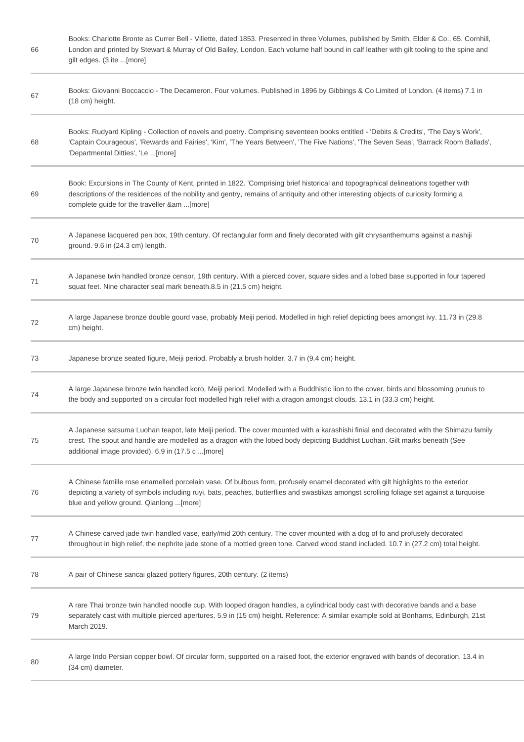| 66 | Books: Charlotte Bronte as Currer Bell - Villette, dated 1853. Presented in three Volumes, published by Smith, Elder & Co., 65, Cornhill,<br>London and printed by Stewart & Murray of Old Bailey, London. Each volume half bound in calf leather with gilt tooling to the spine and<br>gilt edges. (3 ite [more]         |
|----|---------------------------------------------------------------------------------------------------------------------------------------------------------------------------------------------------------------------------------------------------------------------------------------------------------------------------|
| 67 | Books: Giovanni Boccaccio - The Decameron. Four volumes. Published in 1896 by Gibbings & Co Limited of London. (4 items) 7.1 in<br>(18 cm) height.                                                                                                                                                                        |
| 68 | Books: Rudyard Kipling - Collection of novels and poetry. Comprising seventeen books entitled - 'Debits & Credits', 'The Day's Work',<br>'Captain Courageous', 'Rewards and Fairies', 'Kim', 'The Years Between', 'The Five Nations', 'The Seven Seas', 'Barrack Room Ballads',<br>'Departmental Ditties', 'Le [more]     |
| 69 | Book: Excursions in The County of Kent, printed in 1822. 'Comprising brief historical and topographical delineations together with<br>descriptions of the residences of the nobility and gentry, remains of antiquity and other interesting objects of curiosity forming a<br>complete guide for the traveller &am [more] |
| 70 | A Japanese lacquered pen box, 19th century. Of rectangular form and finely decorated with gilt chrysanthemums against a nashiji<br>ground. 9.6 in (24.3 cm) length.                                                                                                                                                       |
| 71 | A Japanese twin handled bronze censor, 19th century. With a pierced cover, square sides and a lobed base supported in four tapered<br>squat feet. Nine character seal mark beneath.8.5 in (21.5 cm) height.                                                                                                               |
| 72 | A large Japanese bronze double gourd vase, probably Meiji period. Modelled in high relief depicting bees amongst ivy. 11.73 in (29.8<br>cm) height.                                                                                                                                                                       |
| 73 | Japanese bronze seated figure, Meiji period. Probably a brush holder. 3.7 in (9.4 cm) height.                                                                                                                                                                                                                             |
| 74 | A large Japanese bronze twin handled koro, Meiji period. Modelled with a Buddhistic lion to the cover, birds and blossoming prunus to<br>the body and supported on a circular foot modelled high relief with a dragon amongst clouds. 13.1 in (33.3 cm) height.                                                           |
| 75 | A Japanese satsuma Luohan teapot, late Meiji period. The cover mounted with a karashishi finial and decorated with the Shimazu family<br>crest. The spout and handle are modelled as a dragon with the lobed body depicting Buddhist Luohan. Gilt marks beneath (See<br>additional image provided). 6.9 in (17.5 c [more] |
| 76 | A Chinese famille rose enamelled porcelain vase. Of bulbous form, profusely enamel decorated with gilt highlights to the exterior<br>depicting a variety of symbols including ruyi, bats, peaches, butterflies and swastikas amongst scrolling foliage set against a turquoise<br>blue and yellow ground. Qianlong [more] |
| 77 | A Chinese carved jade twin handled vase, early/mid 20th century. The cover mounted with a dog of fo and profusely decorated<br>throughout in high relief, the nephrite jade stone of a mottled green tone. Carved wood stand included. 10.7 in (27.2 cm) total height.                                                    |
| 78 | A pair of Chinese sancai glazed pottery figures, 20th century. (2 items)                                                                                                                                                                                                                                                  |
| 79 | A rare Thai bronze twin handled noodle cup. With looped dragon handles, a cylindrical body cast with decorative bands and a base<br>separately cast with multiple pierced apertures. 5.9 in (15 cm) height. Reference: A similar example sold at Bonhams, Edinburgh, 21st<br>March 2019.                                  |
| 80 | A large Indo Persian copper bowl. Of circular form, supported on a raised foot, the exterior engraved with bands of decoration. 13.4 in<br>(34 cm) diameter.                                                                                                                                                              |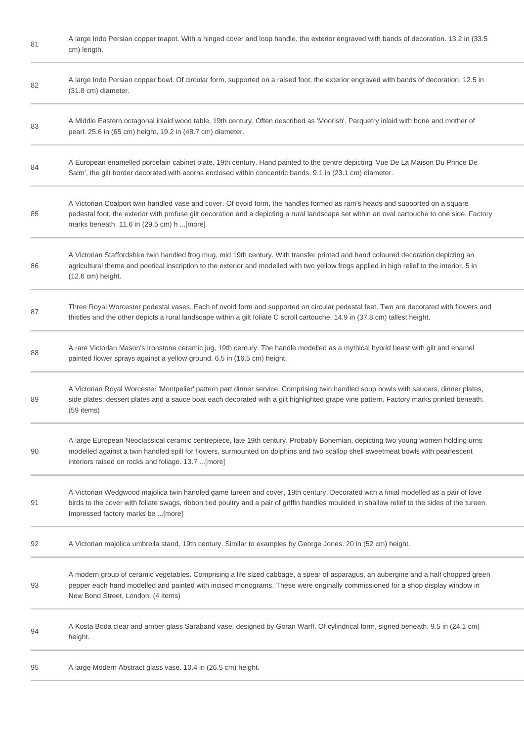| 81 | A large Indo Persian copper teapot. With a hinged cover and loop handle, the exterior engraved with bands of decoration. 13.2 in (33.5)<br>cm) length.                                                                                                                                                                    |
|----|---------------------------------------------------------------------------------------------------------------------------------------------------------------------------------------------------------------------------------------------------------------------------------------------------------------------------|
| 82 | A large Indo Persian copper bowl. Of circular form, supported on a raised foot, the exterior engraved with bands of decoration. 12.5 in<br>(31.8 cm) diameter.                                                                                                                                                            |
| 83 | A Middle Eastern octagonal inlaid wood table, 19th century. Often described as 'Moorish'. Parquetry inlaid with bone and mother of<br>pearl. 25.6 in (65 cm) height, 19.2 in (48.7 cm) diameter.                                                                                                                          |
| 84 | A European enamelled porcelain cabinet plate, 19th century. Hand painted to the centre depicting 'Vue De La Maison Du Prince De<br>Salm', the gilt border decorated with acorns enclosed within concentric bands. 9.1 in (23.1 cm) diameter.                                                                              |
| 85 | A Victorian Coalport twin handled vase and cover. Of ovoid form, the handles formed as ram's heads and supported on a square<br>pedestal foot, the exterior with profuse gilt decoration and a depicting a rural landscape set within an oval cartouche to one side. Factory<br>marks beneath. 11.6 in (29.5 cm) h [more] |
| 86 | A Victorian Staffordshire twin handled frog mug, mid 19th century. With transfer printed and hand coloured decoration depicting an<br>agricultural theme and poetical inscription to the exterior and modelled with two yellow frogs applied in high relief to the interior. 5 in<br>(12.6 cm) height.                    |
| 87 | Three Royal Worcester pedestal vases. Each of ovoid form and supported on circular pedestal feet. Two are decorated with flowers and<br>thistles and the other depicts a rural landscape within a gilt foliate C scroll cartouche. 14.9 in (37.8 cm) tallest height.                                                      |
| 88 | A rare Victorian Mason's Ironstone ceramic jug, 19th century. The handle modelled as a mythical hybrid beast with gilt and enamel<br>painted flower sprays against a yellow ground. 6.5 in (16.5 cm) height.                                                                                                              |
| 89 | A Victorian Royal Worcester 'Montpelier' pattern part dinner service. Comprising twin handled soup bowls with saucers, dinner plates,<br>side plates, dessert plates and a sauce boat each decorated with a gilt highlighted grape vine pattern. Factory marks printed beneath.<br>(59 items)                             |
| 90 | A large European Neoclassical ceramic centrepiece, late 19th century. Probably Bohemian, depicting two young women holding urns<br>modelled against a twin handled spill for flowers, surmounted on dolphins and two scallop shell sweetmeat bowls with pearlescent<br>interiors raised on rocks and foliage. 13.7 [more] |
| 91 | A Victorian Wedgwood majolica twin handled game tureen and cover, 19th century. Decorated with a finial modelled as a pair of love<br>birds to the cover with foliate swags, ribbon tied poultry and a pair of griffin handles moulded in shallow relief to the sides of the tureen.<br>Impressed factory marks be [more] |
| 92 | A Victorian majolica umbrella stand, 19th century. Similar to examples by George Jones. 20 in (52 cm) height.                                                                                                                                                                                                             |
| 93 | A modern group of ceramic vegetables. Comprising a life sized cabbage, a spear of asparagus, an aubergine and a half chopped green<br>pepper each hand modelled and painted with incised monograms. These were originally commissioned for a shop display window in<br>New Bond Street, London. (4 items)                 |
| 94 | A Kosta Boda clear and amber glass Saraband vase, designed by Goran Warff. Of cylindrical form, signed beneath. 9.5 in (24.1 cm)<br>height.                                                                                                                                                                               |
| 95 | A large Modern Abstract glass vase. 10.4 in (26.5 cm) height.                                                                                                                                                                                                                                                             |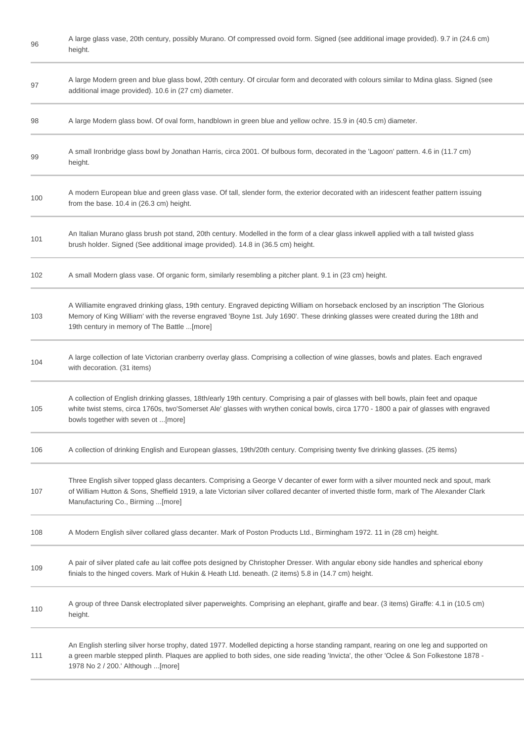| 96  | A large glass vase, 20th century, possibly Murano. Of compressed ovoid form. Signed (see additional image provided). 9.7 in (24.6 cm)<br>height.                                                                                                                                                                         |
|-----|--------------------------------------------------------------------------------------------------------------------------------------------------------------------------------------------------------------------------------------------------------------------------------------------------------------------------|
| 97  | A large Modern green and blue glass bowl, 20th century. Of circular form and decorated with colours similar to Mdina glass. Signed (see<br>additional image provided). 10.6 in (27 cm) diameter.                                                                                                                         |
| 98  | A large Modern glass bowl. Of oval form, handblown in green blue and yellow ochre. 15.9 in (40.5 cm) diameter.                                                                                                                                                                                                           |
| 99  | A small Ironbridge glass bowl by Jonathan Harris, circa 2001. Of bulbous form, decorated in the 'Lagoon' pattern. 4.6 in (11.7 cm)<br>height.                                                                                                                                                                            |
| 100 | A modern European blue and green glass vase. Of tall, slender form, the exterior decorated with an iridescent feather pattern issuing<br>from the base. 10.4 in (26.3 cm) height.                                                                                                                                        |
| 101 | An Italian Murano glass brush pot stand, 20th century. Modelled in the form of a clear glass inkwell applied with a tall twisted glass<br>brush holder. Signed (See additional image provided). 14.8 in (36.5 cm) height.                                                                                                |
| 102 | A small Modern glass vase. Of organic form, similarly resembling a pitcher plant. 9.1 in (23 cm) height.                                                                                                                                                                                                                 |
| 103 | A Williamite engraved drinking glass, 19th century. Engraved depicting William on horseback enclosed by an inscription 'The Glorious<br>Memory of King William' with the reverse engraved 'Boyne 1st. July 1690'. These drinking glasses were created during the 18th and<br>19th century in memory of The Battle [more] |
| 104 | A large collection of late Victorian cranberry overlay glass. Comprising a collection of wine glasses, bowls and plates. Each engraved<br>with decoration. (31 items)                                                                                                                                                    |
| 105 | A collection of English drinking glasses, 18th/early 19th century. Comprising a pair of glasses with bell bowls, plain feet and opaque<br>white twist stems, circa 1760s, two'Somerset Ale' glasses with wrythen conical bowls, circa 1770 - 1800 a pair of glasses with engraved<br>bowls together with seven ot [more] |
| 106 | A collection of drinking English and European glasses, 19th/20th century. Comprising twenty five drinking glasses. (25 items)                                                                                                                                                                                            |
| 107 | Three English silver topped glass decanters. Comprising a George V decanter of ewer form with a silver mounted neck and spout, mark<br>of William Hutton & Sons, Sheffield 1919, a late Victorian silver collared decanter of inverted thistle form, mark of The Alexander Clark<br>Manufacturing Co., Birming [more]    |
| 108 | A Modern English silver collared glass decanter. Mark of Poston Products Ltd., Birmingham 1972. 11 in (28 cm) height.                                                                                                                                                                                                    |
| 109 | A pair of silver plated cafe au lait coffee pots designed by Christopher Dresser. With angular ebony side handles and spherical ebony<br>finials to the hinged covers. Mark of Hukin & Heath Ltd. beneath. (2 items) 5.8 in (14.7 cm) height.                                                                            |
| 110 | A group of three Dansk electroplated silver paperweights. Comprising an elephant, giraffe and bear. (3 items) Giraffe: 4.1 in (10.5 cm)<br>height.                                                                                                                                                                       |
| 111 | An English sterling silver horse trophy, dated 1977. Modelled depicting a horse standing rampant, rearing on one leg and supported on<br>a green marble stepped plinth. Plaques are applied to both sides, one side reading 'Invicta', the other 'Oclee & Son Folkestone 1878 -<br>1978 No 2 / 200.' Although [more]     |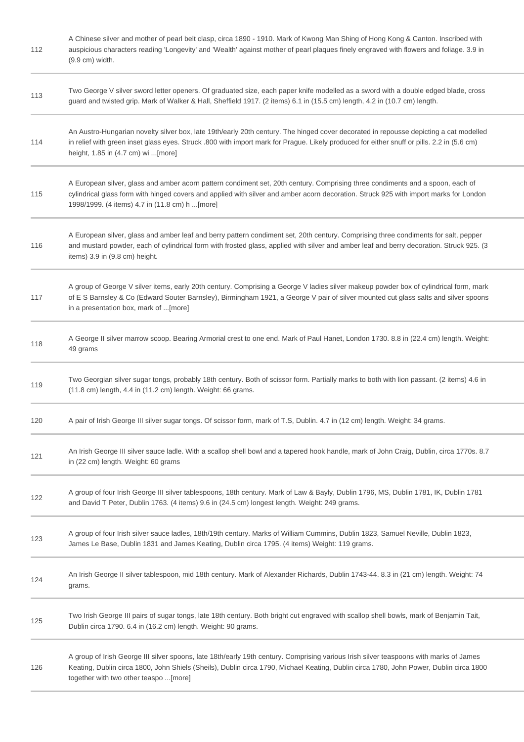| 112 | A Chinese silver and mother of pearl belt clasp, circa 1890 - 1910. Mark of Kwong Man Shing of Hong Kong & Canton. Inscribed with<br>auspicious characters reading 'Longevity' and 'Wealth' against mother of pearl plaques finely engraved with flowers and foliage. 3.9 in<br>$(9.9 \text{ cm})$ width.                 |
|-----|---------------------------------------------------------------------------------------------------------------------------------------------------------------------------------------------------------------------------------------------------------------------------------------------------------------------------|
| 113 | Two George V silver sword letter openers. Of graduated size, each paper knife modelled as a sword with a double edged blade, cross<br>guard and twisted grip. Mark of Walker & Hall, Sheffield 1917. (2 items) 6.1 in (15.5 cm) length, 4.2 in (10.7 cm) length.                                                          |
| 114 | An Austro-Hungarian novelty silver box, late 19th/early 20th century. The hinged cover decorated in repousse depicting a cat modelled<br>in relief with green inset glass eyes. Struck .800 with import mark for Prague. Likely produced for either snuff or pills. 2.2 in (5.6 cm)<br>height, 1.85 in (4.7 cm) wi [more] |
| 115 | A European silver, glass and amber acorn pattern condiment set, 20th century. Comprising three condiments and a spoon, each of<br>cylindrical glass form with hinged covers and applied with silver and amber acorn decoration. Struck 925 with import marks for London<br>1998/1999. (4 items) 4.7 in (11.8 cm) h [more] |
| 116 | A European silver, glass and amber leaf and berry pattern condiment set, 20th century. Comprising three condiments for salt, pepper<br>and mustard powder, each of cylindrical form with frosted glass, applied with silver and amber leaf and berry decoration. Struck 925. (3<br>items) 3.9 in (9.8 cm) height.         |
| 117 | A group of George V silver items, early 20th century. Comprising a George V ladies silver makeup powder box of cylindrical form, mark<br>of E S Barnsley & Co (Edward Souter Barnsley), Birmingham 1921, a George V pair of silver mounted cut glass salts and silver spoons<br>in a presentation box, mark of [more]     |
| 118 | A George II silver marrow scoop. Bearing Armorial crest to one end. Mark of Paul Hanet, London 1730. 8.8 in (22.4 cm) length. Weight:<br>49 grams                                                                                                                                                                         |
| 119 | Two Georgian silver sugar tongs, probably 18th century. Both of scissor form. Partially marks to both with lion passant. (2 items) 4.6 in<br>(11.8 cm) length, 4.4 in (11.2 cm) length. Weight: 66 grams.                                                                                                                 |
| 120 | A pair of Irish George III silver sugar tongs. Of scissor form, mark of T.S, Dublin. 4.7 in (12 cm) length. Weight: 34 grams.                                                                                                                                                                                             |
| 121 | An Irish George III silver sauce ladle. With a scallop shell bowl and a tapered hook handle, mark of John Craig, Dublin, circa 1770s. 8.7<br>in (22 cm) length. Weight: 60 grams                                                                                                                                          |
| 122 | A group of four Irish George III silver tablespoons, 18th century. Mark of Law & Bayly, Dublin 1796, MS, Dublin 1781, IK, Dublin 1781<br>and David T Peter, Dublin 1763. (4 items) 9.6 in (24.5 cm) longest length. Weight: 249 grams.                                                                                    |
| 123 | A group of four Irish silver sauce ladles, 18th/19th century. Marks of William Cummins, Dublin 1823, Samuel Neville, Dublin 1823,<br>James Le Base, Dublin 1831 and James Keating, Dublin circa 1795. (4 items) Weight: 119 grams.                                                                                        |
| 124 | An Irish George II silver tablespoon, mid 18th century. Mark of Alexander Richards, Dublin 1743-44. 8.3 in (21 cm) length. Weight: 74<br>grams.                                                                                                                                                                           |
| 125 | Two Irish George III pairs of sugar tongs, late 18th century. Both bright cut engraved with scallop shell bowls, mark of Benjamin Tait,<br>Dublin circa 1790. 6.4 in (16.2 cm) length. Weight: 90 grams.                                                                                                                  |
| 126 | A group of Irish George III silver spoons, late 18th/early 19th century. Comprising various Irish silver teaspoons with marks of James<br>Keating, Dublin circa 1800, John Shiels (Sheils), Dublin circa 1790, Michael Keating, Dublin circa 1780, John Power, Dublin circa 1800<br>together with two other teaspo [more] |
|     |                                                                                                                                                                                                                                                                                                                           |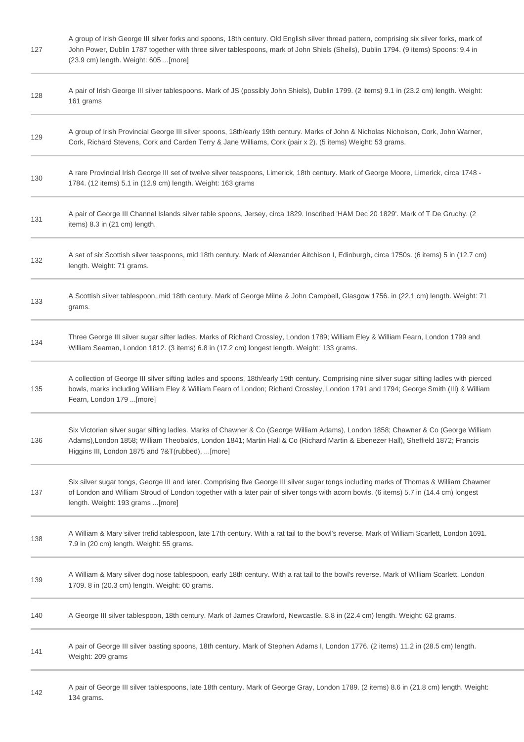| 127 | A group of Irish George III silver forks and spoons, 18th century. Old English silver thread pattern, comprising six silver forks, mark of<br>John Power, Dublin 1787 together with three silver tablespoons, mark of John Shiels (Sheils), Dublin 1794. (9 items) Spoons: 9.4 in<br>(23.9 cm) length. Weight: 605  [more] |
|-----|----------------------------------------------------------------------------------------------------------------------------------------------------------------------------------------------------------------------------------------------------------------------------------------------------------------------------|
| 128 | A pair of Irish George III silver tablespoons. Mark of JS (possibly John Shiels), Dublin 1799. (2 items) 9.1 in (23.2 cm) length. Weight:<br>161 grams                                                                                                                                                                     |
| 129 | A group of Irish Provincial George III silver spoons, 18th/early 19th century. Marks of John & Nicholas Nicholson, Cork, John Warner,<br>Cork, Richard Stevens, Cork and Carden Terry & Jane Williams, Cork (pair x 2). (5 items) Weight: 53 grams.                                                                        |
| 130 | A rare Provincial Irish George III set of twelve silver teaspoons, Limerick, 18th century. Mark of George Moore, Limerick, circa 1748 -<br>1784. (12 items) 5.1 in (12.9 cm) length. Weight: 163 grams                                                                                                                     |
| 131 | A pair of George III Channel Islands silver table spoons, Jersey, circa 1829. Inscribed 'HAM Dec 20 1829'. Mark of T De Gruchy. (2<br>items) 8.3 in (21 cm) length.                                                                                                                                                        |
| 132 | A set of six Scottish silver teaspoons, mid 18th century. Mark of Alexander Aitchison I, Edinburgh, circa 1750s. (6 items) 5 in (12.7 cm)<br>length. Weight: 71 grams.                                                                                                                                                     |
| 133 | A Scottish silver tablespoon, mid 18th century. Mark of George Milne & John Campbell, Glasgow 1756. in (22.1 cm) length. Weight: 71<br>grams.                                                                                                                                                                              |
| 134 | Three George III silver sugar sifter ladles. Marks of Richard Crossley, London 1789; William Eley & William Fearn, London 1799 and<br>William Seaman, London 1812. (3 items) 6.8 in (17.2 cm) longest length. Weight: 133 grams.                                                                                           |
| 135 | A collection of George III silver sifting ladles and spoons, 18th/early 19th century. Comprising nine silver sugar sifting ladles with pierced<br>bowls, marks including William Eley & William Fearn of London; Richard Crossley, London 1791 and 1794; George Smith (III) & William<br>Fearn, London 179 [more]          |
| 136 | Six Victorian silver sugar sifting ladles. Marks of Chawner & Co (George William Adams), London 1858; Chawner & Co (George William<br>Adams), London 1858; William Theobalds, London 1841; Martin Hall & Co (Richard Martin & Ebenezer Hall), Sheffield 1872; Francis<br>Higgins III, London 1875 and ?&T(rubbed), [more]  |
| 137 | Six silver sugar tongs, George III and later. Comprising five George III silver sugar tongs including marks of Thomas & William Chawner<br>of London and William Stroud of London together with a later pair of silver tongs with acorn bowls. (6 items) 5.7 in (14.4 cm) longest<br>length. Weight: 193 grams [more]      |
| 138 | A William & Mary silver trefid tablespoon, late 17th century. With a rat tail to the bowl's reverse. Mark of William Scarlett, London 1691.<br>7.9 in (20 cm) length. Weight: 55 grams.                                                                                                                                    |
| 139 | A William & Mary silver dog nose tablespoon, early 18th century. With a rat tail to the bowl's reverse. Mark of William Scarlett, London<br>1709. 8 in (20.3 cm) length. Weight: 60 grams.                                                                                                                                 |
| 140 | A George III silver tablespoon, 18th century. Mark of James Crawford, Newcastle. 8.8 in (22.4 cm) length. Weight: 62 grams.                                                                                                                                                                                                |
| 141 | A pair of George III silver basting spoons, 18th century. Mark of Stephen Adams I, London 1776. (2 items) 11.2 in (28.5 cm) length.<br>Weight: 209 grams                                                                                                                                                                   |
| 142 | A pair of George III silver tablespoons, late 18th century. Mark of George Gray, London 1789. (2 items) 8.6 in (21.8 cm) length. Weight:<br>134 grams.                                                                                                                                                                     |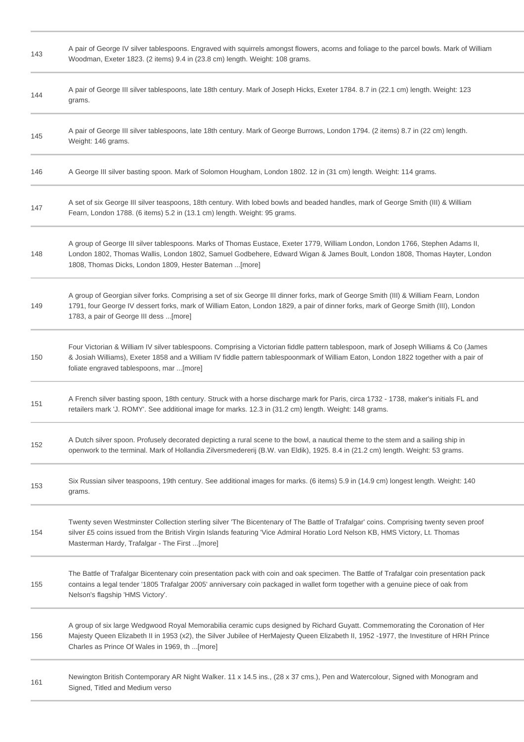| 143 | A pair of George IV silver tablespoons. Engraved with squirrels amongst flowers, acorns and foliage to the parcel bowls. Mark of William<br>Woodman, Exeter 1823. (2 items) 9.4 in (23.8 cm) length. Weight: 108 grams.                                                                                                   |
|-----|---------------------------------------------------------------------------------------------------------------------------------------------------------------------------------------------------------------------------------------------------------------------------------------------------------------------------|
| 144 | A pair of George III silver tablespoons, late 18th century. Mark of Joseph Hicks, Exeter 1784. 8.7 in (22.1 cm) length. Weight: 123<br>grams.                                                                                                                                                                             |
| 145 | A pair of George III silver tablespoons, late 18th century. Mark of George Burrows, London 1794. (2 items) 8.7 in (22 cm) length.<br>Weight: 146 grams.                                                                                                                                                                   |
| 146 | A George III silver basting spoon. Mark of Solomon Hougham, London 1802. 12 in (31 cm) length. Weight: 114 grams.                                                                                                                                                                                                         |
| 147 | A set of six George III silver teaspoons, 18th century. With lobed bowls and beaded handles, mark of George Smith (III) & William<br>Fearn, London 1788. (6 items) 5.2 in (13.1 cm) length. Weight: 95 grams.                                                                                                             |
| 148 | A group of George III silver tablespoons. Marks of Thomas Eustace, Exeter 1779, William London, London 1766, Stephen Adams II,<br>London 1802, Thomas Wallis, London 1802, Samuel Godbehere, Edward Wigan & James Boult, London 1808, Thomas Hayter, London<br>1808, Thomas Dicks, London 1809, Hester Bateman  [more]    |
| 149 | A group of Georgian silver forks. Comprising a set of six George III dinner forks, mark of George Smith (III) & William Fearn, London<br>1791, four George IV dessert forks, mark of William Eaton, London 1829, a pair of dinner forks, mark of George Smith (III), London<br>1783, a pair of George III dess [more]     |
| 150 | Four Victorian & William IV silver tablespoons. Comprising a Victorian fiddle pattern tablespoon, mark of Joseph Williams & Co (James<br>& Josiah Williams), Exeter 1858 and a William IV fiddle pattern tablespoonmark of William Eaton, London 1822 together with a pair of<br>foliate engraved tablespoons, mar [more] |
| 151 | A French silver basting spoon, 18th century. Struck with a horse discharge mark for Paris, circa 1732 - 1738, maker's initials FL and<br>retailers mark 'J. ROMY'. See additional image for marks. 12.3 in (31.2 cm) length. Weight: 148 grams.                                                                           |
| 152 | A Dutch silver spoon. Profusely decorated depicting a rural scene to the bowl, a nautical theme to the stem and a sailing ship in<br>openwork to the terminal. Mark of Hollandia Zilversmedererij (B.W. van Eldik), 1925. 8.4 in (21.2 cm) length. Weight: 53 grams.                                                      |
| 153 | Six Russian silver teaspoons, 19th century. See additional images for marks. (6 items) 5.9 in (14.9 cm) longest length. Weight: 140<br>grams.                                                                                                                                                                             |
| 154 | Twenty seven Westminster Collection sterling silver 'The Bicentenary of The Battle of Trafalgar' coins. Comprising twenty seven proof<br>silver £5 coins issued from the British Virgin Islands featuring 'Vice Admiral Horatio Lord Nelson KB, HMS Victory, Lt. Thomas<br>Masterman Hardy, Trafalgar - The First  [more] |
| 155 | The Battle of Trafalgar Bicentenary coin presentation pack with coin and oak specimen. The Battle of Trafalgar coin presentation pack<br>contains a legal tender '1805 Trafalgar 2005' anniversary coin packaged in wallet form together with a genuine piece of oak from<br>Nelson's flagship 'HMS Victory'.             |
| 156 | A group of six large Wedgwood Royal Memorabilia ceramic cups designed by Richard Guyatt. Commemorating the Coronation of Her<br>Majesty Queen Elizabeth II in 1953 (x2), the Silver Jubilee of HerMajesty Queen Elizabeth II, 1952 -1977, the Investiture of HRH Prince<br>Charles as Prince Of Wales in 1969, th [more]  |
| 161 | Newington British Contemporary AR Night Walker. 11 x 14.5 ins., (28 x 37 cms.), Pen and Watercolour, Signed with Monogram and<br>Signed, Titled and Medium verso                                                                                                                                                          |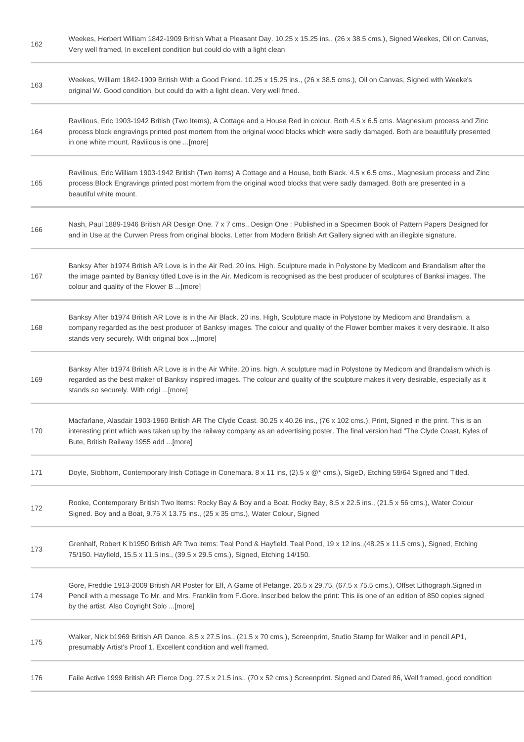| 162 | Weekes, Herbert William 1842-1909 British What a Pleasant Day. 10.25 x 15.25 ins., (26 x 38.5 cms.), Signed Weekes, Oil on Canvas,<br>Very well framed, In excellent condition but could do with a light clean                                                                                                            |
|-----|---------------------------------------------------------------------------------------------------------------------------------------------------------------------------------------------------------------------------------------------------------------------------------------------------------------------------|
| 163 | Weekes, William 1842-1909 British With a Good Friend. 10.25 x 15.25 ins., (26 x 38.5 cms.), Oil on Canvas, Signed with Weeke's<br>original W. Good condition, but could do with a light clean. Very well fmed.                                                                                                            |
| 164 | Ravilious, Eric 1903-1942 British (Two Items), A Cottage and a House Red in colour. Both 4.5 x 6.5 cms. Magnesium process and Zinc<br>process block engravings printed post mortem from the original wood blocks which were sadly damaged. Both are beautifully presented<br>in one white mount. Raviiious is one [more]  |
| 165 | Ravilious, Eric William 1903-1942 British (Two items) A Cottage and a House, both Black. 4.5 x 6.5 cms., Magnesium process and Zinc<br>process Block Engravings printed post mortem from the original wood blocks that were sadly damaged. Both are presented in a<br>beautiful white mount.                              |
| 166 | Nash, Paul 1889-1946 British AR Design One. 7 x 7 cms., Design One: Published in a Specimen Book of Pattern Papers Designed for<br>and in Use at the Curwen Press from original blocks. Letter from Modern British Art Gallery signed with an illegible signature.                                                        |
| 167 | Banksy After b1974 British AR Love is in the Air Red. 20 ins. High. Sculpture made in Polystone by Medicom and Brandalism after the<br>the image painted by Banksy titled Love is in the Air. Medicom is recognised as the best producer of sculptures of Banksi images. The<br>colour and quality of the Flower B [more] |
| 168 | Banksy After b1974 British AR Love is in the Air Black. 20 ins. High, Sculpture made in Polystone by Medicom and Brandalism, a<br>company regarded as the best producer of Banksy images. The colour and quality of the Flower bomber makes it very desirable. It also<br>stands very securely. With original box [more]  |
| 169 | Banksy After b1974 British AR Love is in the Air White. 20 ins. high. A sculpture mad in Polystone by Medicom and Brandalism which is<br>regarded as the best maker of Banksy inspired images. The colour and quality of the sculpture makes it very desirable, especially as it<br>stands so securely. With origi [more] |
| 170 | Macfarlane, Alasdair 1903-1960 British AR The Clyde Coast. 30.25 x 40.26 ins., (76 x 102 cms.), Print, Signed in the print. This is an<br>interesting print which was taken up by the railway company as an advertising poster. The final version had "The Clyde Coast, Kyles of<br>Bute, British Railway 1955 add [more] |
| 171 | Doyle, Siobhorn, Contemporary Irish Cottage in Conemara. 8 x 11 ins, (2).5 x @* cms.), SigeD, Etching 59/64 Signed and Titled.                                                                                                                                                                                            |
| 172 | Rooke, Contemporary British Two Items: Rocky Bay & Boy and a Boat. Rocky Bay, 8.5 x 22.5 ins., (21.5 x 56 cms.), Water Colour<br>Signed. Boy and a Boat, 9.75 X 13.75 ins., (25 x 35 cms.), Water Colour, Signed                                                                                                          |
| 173 | Grenhalf, Robert K b1950 British AR Two items: Teal Pond & Hayfield. Teal Pond, 19 x 12 ins., (48.25 x 11.5 cms.), Signed, Etching<br>75/150. Hayfield, 15.5 x 11.5 ins., (39.5 x 29.5 cms.), Signed, Etching 14/150.                                                                                                     |
| 174 | Gore, Freddie 1913-2009 British AR Poster for Elf, A Game of Petange. 26.5 x 29.75, (67.5 x 75.5 cms.), Offset Lithograph.Signed in<br>Pencil with a message To Mr. and Mrs. Franklin from F.Gore. Inscribed below the print: This iis one of an edition of 850 copies signed<br>by the artist. Also Coyright Solo [more] |
| 175 | Walker, Nick b1969 British AR Dance. 8.5 x 27.5 ins., (21.5 x 70 cms.), Screenprint, Studio Stamp for Walker and in pencil AP1,<br>presumably Artist's Proof 1. Excellent condition and well framed.                                                                                                                      |
| 176 | Faile Active 1999 British AR Fierce Dog. 27.5 x 21.5 ins., (70 x 52 cms.) Screenprint. Signed and Dated 86, Well framed, good condition                                                                                                                                                                                   |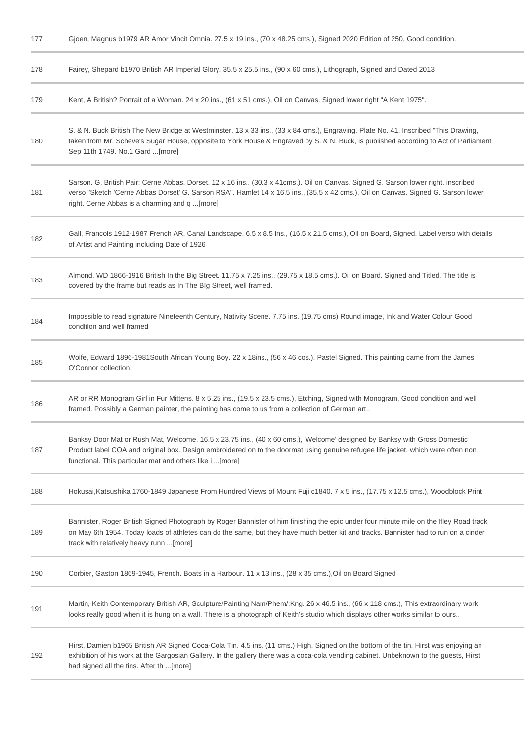| 177 | Gjoen, Magnus b1979 AR Amor Vincit Omnia. 27.5 x 19 ins., (70 x 48.25 cms.), Signed 2020 Edition of 250, Good condition.                                                                                                                                                                                                   |
|-----|----------------------------------------------------------------------------------------------------------------------------------------------------------------------------------------------------------------------------------------------------------------------------------------------------------------------------|
| 178 | Fairey, Shepard b1970 British AR Imperial Glory. 35.5 x 25.5 ins., (90 x 60 cms.), Lithograph, Signed and Dated 2013                                                                                                                                                                                                       |
| 179 | Kent, A British? Portrait of a Woman. 24 x 20 ins., (61 x 51 cms.), Oil on Canvas. Signed lower right "A Kent 1975".                                                                                                                                                                                                       |
| 180 | S. & N. Buck British The New Bridge at Westminster. 13 x 33 ins., (33 x 84 cms.), Engraving. Plate No. 41. Inscribed "This Drawing,<br>taken from Mr. Scheve's Sugar House, opposite to York House & Engraved by S. & N. Buck, is published according to Act of Parliament<br>Sep 11th 1749. No.1 Gard [more]              |
| 181 | Sarson, G. British Pair: Cerne Abbas, Dorset. 12 x 16 ins., (30.3 x 41cms.), Oil on Canvas. Signed G. Sarson lower right, inscribed<br>verso "Sketch 'Cerne Abbas Dorset' G. Sarson RSA". Hamlet 14 x 16.5 ins., (35.5 x 42 cms.), Oil on Canvas. Signed G. Sarson lower<br>right. Cerne Abbas is a charming and q [more]  |
| 182 | Gall, Francois 1912-1987 French AR, Canal Landscape. 6.5 x 8.5 ins., (16.5 x 21.5 cms.), Oil on Board, Signed. Label verso with details<br>of Artist and Painting including Date of 1926                                                                                                                                   |
| 183 | Almond, WD 1866-1916 British In the Big Street. 11.75 x 7.25 ins., (29.75 x 18.5 cms.), Oil on Board, Signed and Titled. The title is<br>covered by the frame but reads as In The BIg Street, well framed.                                                                                                                 |
| 184 | Impossible to read signature Nineteenth Century, Nativity Scene. 7.75 ins. (19.75 cms) Round image, Ink and Water Colour Good<br>condition and well framed                                                                                                                                                                 |
| 185 | Wolfe, Edward 1896-1981South African Young Boy. 22 x 18ins., (56 x 46 cos.), Pastel Signed. This painting came from the James<br>O'Connor collection.                                                                                                                                                                      |
| 186 | AR or RR Monogram Girl in Fur Mittens. 8 x 5.25 ins., (19.5 x 23.5 cms.), Etching, Signed with Monogram, Good condition and well<br>framed. Possibly a German painter, the painting has come to us from a collection of German art                                                                                         |
| 187 | Banksy Door Mat or Rush Mat, Welcome. 16.5 x 23.75 ins., (40 x 60 cms.), 'Welcome' designed by Banksy with Gross Domestic<br>Product label COA and original box. Design embroidered on to the doormat using genuine refugee life jacket, which were often non<br>functional. This particular mat and others like i[more]   |
| 188 | Hokusai, Katsushika 1760-1849 Japanese From Hundred Views of Mount Fuji c1840. 7 x 5 ins., (17.75 x 12.5 cms.), Woodblock Print                                                                                                                                                                                            |
| 189 | Bannister, Roger British Signed Photograph by Roger Bannister of him finishing the epic under four minute mile on the Ifley Road track<br>on May 6th 1954. Today loads of athletes can do the same, but they have much better kit and tracks. Bannister had to run on a cinder<br>track with relatively heavy runn  [more] |
| 190 | Corbier, Gaston 1869-1945, French. Boats in a Harbour. 11 x 13 ins., (28 x 35 cms.), Oil on Board Signed                                                                                                                                                                                                                   |
| 191 | Martin, Keith Contemporary British AR, Sculpture/Painting Nam/Phem/:Kng. 26 x 46.5 ins., (66 x 118 cms.), This extraordinary work<br>looks really good when it is hung on a wall. There is a photograph of Keith's studio which displays other works similar to ours                                                       |
| 192 | Hirst, Damien b1965 British AR Signed Coca-Cola Tin. 4.5 ins. (11 cms.) High, Signed on the bottom of the tin. Hirst was enjoying an<br>exhibition of his work at the Gargosian Gallery. In the gallery there was a coca-cola vending cabinet. Unbeknown to the guests, Hirst<br>had signed all the tins. After th [more]  |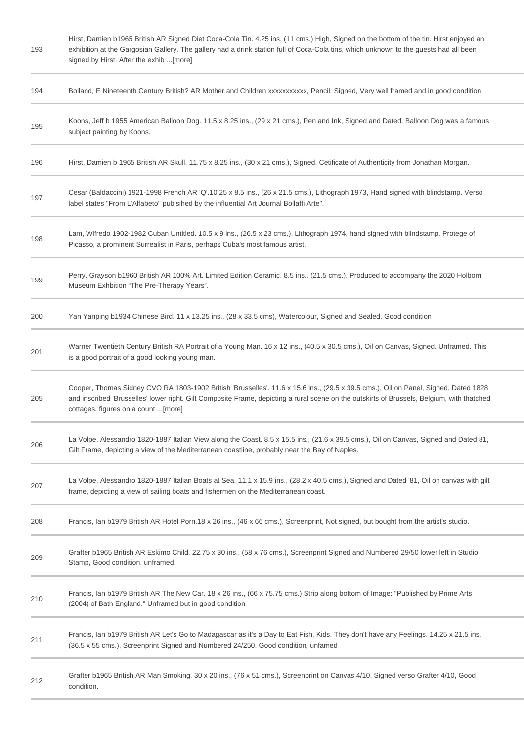| 193 | Hirst, Damien b1965 British AR Signed Diet Coca-Cola Tin. 4.25 ins. (11 cms.) High, Signed on the bottom of the tin. Hirst enjoyed an<br>exhibition at the Gargosian Gallery. The gallery had a drink station full of Coca-Cola tins, which unknown to the guests had all been<br>signed by Hirst. After the exhib [more] |
|-----|---------------------------------------------------------------------------------------------------------------------------------------------------------------------------------------------------------------------------------------------------------------------------------------------------------------------------|
| 194 | Bolland, E Nineteenth Century British? AR Mother and Children xxxxxxxxxxx, Pencil, Signed, Very well framed and in good condition                                                                                                                                                                                         |
| 195 | Koons, Jeff b 1955 American Balloon Dog. 11.5 x 8.25 ins., (29 x 21 cms.), Pen and Ink, Signed and Dated. Balloon Dog was a famous<br>subject painting by Koons.                                                                                                                                                          |
| 196 | Hirst, Damien b 1965 British AR Skull. 11.75 x 8.25 ins., (30 x 21 cms.), Signed, Cetificate of Authenticity from Jonathan Morgan.                                                                                                                                                                                        |
| 197 | Cesar (Baldaccini) 1921-1998 French AR 'Q'.10.25 x 8.5 ins., (26 x 21.5 cms.), Lithograph 1973, Hand signed with blindstamp. Verso<br>label states "From L'Alfabeto" publsihed by the influential Art Journal Bollaffi Arte".                                                                                             |
| 198 | Lam, Wifredo 1902-1982 Cuban Untitled. 10.5 x 9 ins., (26.5 x 23 cms.), Lithograph 1974, hand signed with blindstamp. Protege of<br>Picasso, a prominent Surrealist in Paris, perhaps Cuba's most famous artist.                                                                                                          |
| 199 | Perry, Grayson b1960 British AR 100% Art. Limited Edition Ceramic, 8.5 ins., (21.5 cms.), Produced to accompany the 2020 Holborn<br>Museum Exhbition "The Pre-Therapy Years".                                                                                                                                             |
| 200 | Yan Yanping b1934 Chinese Bird. 11 x 13.25 ins., (28 x 33.5 cms), Watercolour, Signed and Sealed. Good condition                                                                                                                                                                                                          |
| 201 | Warner Twentieth Century British RA Portrait of a Young Man. 16 x 12 ins., (40.5 x 30.5 cms.), Oil on Canvas, Signed. Unframed. This<br>is a good portrait of a good looking young man.                                                                                                                                   |
| 205 | Cooper, Thomas Sidney CVO RA 1803-1902 British 'Brusselles'. 11.6 x 15.6 ins., (29.5 x 39.5 cms.), Oil on Panel, Signed, Dated 1828<br>and inscribed 'Brusselles' lower right. Gilt Composite Frame, depicting a rural scene on the outskirts of Brussels, Belgium, with thatched<br>cottages, figures on a count  [more] |
| 206 | La Volpe, Alessandro 1820-1887 Italian View along the Coast. 8.5 x 15.5 ins., (21.6 x 39.5 cms.), Oil on Canvas, Signed and Dated 81,<br>Gilt Frame, depicting a view of the Mediterranean coastline, probably near the Bay of Naples.                                                                                    |
| 207 | La Volpe, Alessandro 1820-1887 Italian Boats at Sea. 11.1 x 15.9 ins., (28.2 x 40.5 cms.), Signed and Dated '81, Oil on canvas with gilt<br>frame, depicting a view of sailing boats and fishermen on the Mediterranean coast.                                                                                            |
| 208 | Francis, Ian b1979 British AR Hotel Porn.18 x 26 ins., (46 x 66 cms.), Screenprint, Not signed, but bought from the artist's studio.                                                                                                                                                                                      |
| 209 | Grafter b1965 British AR Eskimo Child. 22.75 x 30 ins., (58 x 76 cms.), Screenprint Signed and Numbered 29/50 lower left in Studio<br>Stamp, Good condition, unframed.                                                                                                                                                    |
| 210 | Francis, Ian b1979 British AR The New Car. 18 x 26 ins., (66 x 75.75 cms.) Strip along bottom of Image: "Published by Prime Arts<br>(2004) of Bath England." Unframed but in good condition                                                                                                                               |
| 211 | Francis, Ian b1979 British AR Let's Go to Madagascar as it's a Day to Eat Fish, Kids. They don't have any Feelings. 14.25 x 21.5 ins,<br>(36.5 x 55 cms.), Screenprint Signed and Numbered 24/250. Good condition, unfamed                                                                                                |
| 212 | Grafter b1965 British AR Man Smoking. 30 x 20 ins., (76 x 51 cms.), Screenprint on Canvas 4/10, Signed verso Grafter 4/10, Good<br>condition.                                                                                                                                                                             |
|     |                                                                                                                                                                                                                                                                                                                           |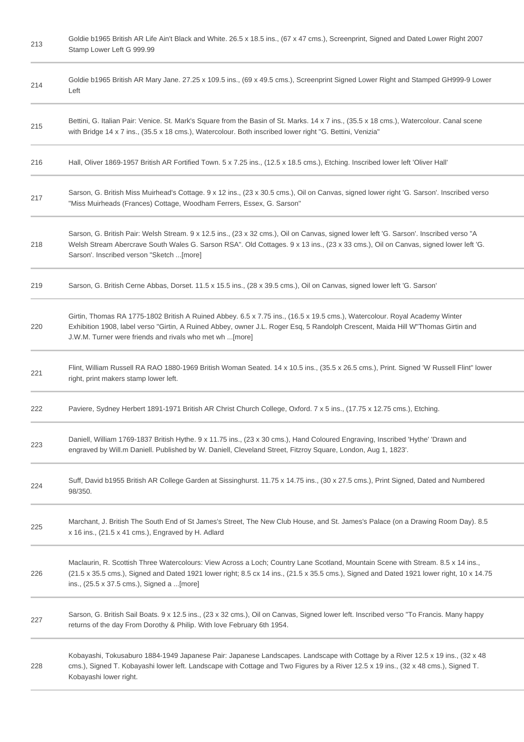| 213 | Goldie b1965 British AR Life Ain't Black and White. 26.5 x 18.5 ins., (67 x 47 cms.), Screenprint, Signed and Dated Lower Right 2007<br>Stamp Lower Left G 999.99                                                                                                                                                         |
|-----|---------------------------------------------------------------------------------------------------------------------------------------------------------------------------------------------------------------------------------------------------------------------------------------------------------------------------|
| 214 | Goldie b1965 British AR Mary Jane. 27.25 x 109.5 ins., (69 x 49.5 cms.), Screenprint Signed Lower Right and Stamped GH999-9 Lower<br>Left                                                                                                                                                                                 |
| 215 | Bettini, G. Italian Pair: Venice. St. Mark's Square from the Basin of St. Marks. 14 x 7 ins., (35.5 x 18 cms.), Watercolour. Canal scene<br>with Bridge 14 x 7 ins., (35.5 x 18 cms.), Watercolour. Both inscribed lower right "G. Bettini, Venizia"                                                                      |
| 216 | Hall, Oliver 1869-1957 British AR Fortified Town. 5 x 7.25 ins., (12.5 x 18.5 cms.), Etching. Inscribed lower left 'Oliver Hall'                                                                                                                                                                                          |
| 217 | Sarson, G. British Miss Muirhead's Cottage. 9 x 12 ins., (23 x 30.5 cms.), Oil on Canvas, signed lower right 'G. Sarson'. Inscribed verso<br>"Miss Muirheads (Frances) Cottage, Woodham Ferrers, Essex, G. Sarson"                                                                                                        |
| 218 | Sarson, G. British Pair: Welsh Stream. 9 x 12.5 ins., (23 x 32 cms.), Oil on Canvas, signed lower left 'G. Sarson'. Inscribed verso "A<br>Welsh Stream Abercrave South Wales G. Sarson RSA". Old Cottages. 9 x 13 ins., (23 x 33 cms.), Oil on Canvas, signed lower left 'G.<br>Sarson'. Inscribed verson "Sketch [more]  |
| 219 | Sarson, G. British Cerne Abbas, Dorset. 11.5 x 15.5 ins., (28 x 39.5 cms.), Oil on Canvas, signed lower left 'G. Sarson'                                                                                                                                                                                                  |
| 220 | Girtin, Thomas RA 1775-1802 British A Ruined Abbey. 6.5 x 7.75 ins., (16.5 x 19.5 cms.), Watercolour. Royal Academy Winter<br>Exhibition 1908, label verso "Girtin, A Ruined Abbey, owner J.L. Roger Esq, 5 Randolph Crescent, Maida Hill W"Thomas Girtin and<br>J.W.M. Turner were friends and rivals who met wh [more]  |
| 221 | Flint, William Russell RA RAO 1880-1969 British Woman Seated. 14 x 10.5 ins., (35.5 x 26.5 cms.), Print. Signed 'W Russell Flint" lower<br>right, print makers stamp lower left.                                                                                                                                          |
| 222 | Paviere, Sydney Herbert 1891-1971 British AR Christ Church College, Oxford. 7 x 5 ins., (17.75 x 12.75 cms.), Etching.                                                                                                                                                                                                    |
| 223 | Daniell, William 1769-1837 British Hythe. 9 x 11.75 ins., (23 x 30 cms.), Hand Coloured Engraving, Inscribed 'Hythe' 'Drawn and<br>engraved by Will.m Daniell. Published by W. Daniell, Cleveland Street, Fitzroy Square, London, Aug 1, 1823'.                                                                           |
| 224 | Suff, David b1955 British AR College Garden at Sissinghurst. 11.75 x 14.75 ins., (30 x 27.5 cms.), Print Signed, Dated and Numbered<br>98/350.                                                                                                                                                                            |
| 225 | Marchant, J. British The South End of St James's Street, The New Club House, and St. James's Palace (on a Drawing Room Day). 8.5<br>x 16 ins., (21.5 x 41 cms.), Engraved by H. Adlard                                                                                                                                    |
| 226 | Maclaurin, R. Scottish Three Watercolours: View Across a Loch; Country Lane Scotland, Mountain Scene with Stream. 8.5 x 14 ins.,<br>(21.5 x 35.5 cms.), Signed and Dated 1921 lower right; 8.5 cx 14 ins., (21.5 x 35.5 cms.), Signed and Dated 1921 lower right, 10 x 14.75<br>ins., (25.5 x 37.5 cms.), Signed a [more] |
| 227 | Sarson, G. British Sail Boats. 9 x 12.5 ins., (23 x 32 cms.), Oil on Canvas, Signed lower left. Inscribed verso "To Francis. Many happy<br>returns of the day From Dorothy & Philip. With love February 6th 1954.                                                                                                         |
| 228 | Kobayashi, Tokusaburo 1884-1949 Japanese Pair: Japanese Landscapes. Landscape with Cottage by a River 12.5 x 19 ins., (32 x 48<br>cms.), Signed T. Kobayashi lower left. Landscape with Cottage and Two Figures by a River 12.5 x 19 ins., (32 x 48 cms.), Signed T.<br>Kobayashi lower right.                            |